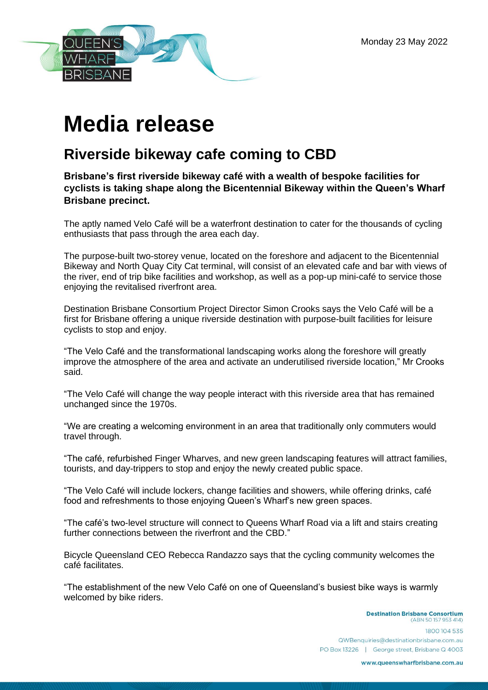

## **Media release**

## **Riverside bikeway cafe coming to CBD**

## **Brisbane's first riverside bikeway café with a wealth of bespoke facilities for cyclists is taking shape along the Bicentennial Bikeway within the Queen's Wharf Brisbane precinct.**

The aptly named Velo Café will be a waterfront destination to cater for the thousands of cycling enthusiasts that pass through the area each day.

The purpose-built two-storey venue, located on the foreshore and adjacent to the Bicentennial Bikeway and North Quay City Cat terminal, will consist of an elevated cafe and bar with views of the river, end of trip bike facilities and workshop, as well as a pop-up mini-café to service those enjoying the revitalised riverfront area.

Destination Brisbane Consortium Project Director Simon Crooks says the Velo Café will be a first for Brisbane offering a unique riverside destination with purpose-built facilities for leisure cyclists to stop and enjoy.

"The Velo Café and the transformational landscaping works along the foreshore will greatly improve the atmosphere of the area and activate an underutilised riverside location," Mr Crooks said.

"The Velo Café will change the way people interact with this riverside area that has remained unchanged since the 1970s.

"We are creating a welcoming environment in an area that traditionally only commuters would travel through.

"The café, refurbished Finger Wharves, and new green landscaping features will attract families, tourists, and day-trippers to stop and enjoy the newly created public space.

"The Velo Café will include lockers, change facilities and showers, while offering drinks, café food and refreshments to those enjoying Queen's Wharf's new green spaces.

"The café's two-level structure will connect to Queens Wharf Road via a lift and stairs creating further connections between the riverfront and the CBD."

Bicycle Queensland CEO Rebecca Randazzo says that the cycling community welcomes the café facilitates.

"The establishment of the new Velo Café on one of Queensland's busiest bike ways is warmly welcomed by bike riders.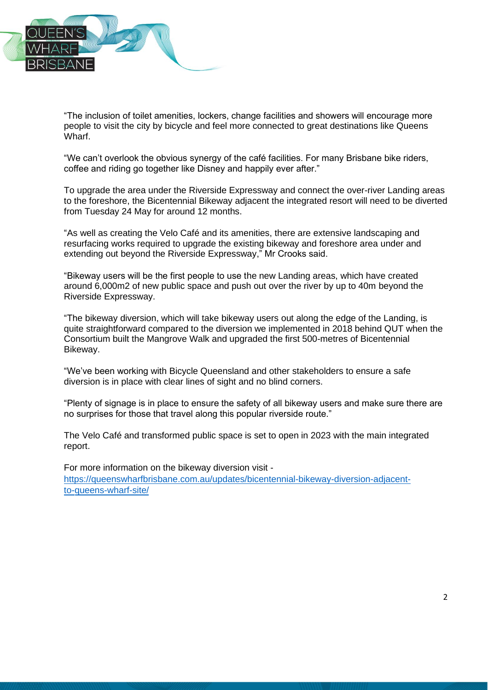

"The inclusion of toilet amenities, lockers, change facilities and showers will encourage more people to visit the city by bicycle and feel more connected to great destinations like Queens Wharf.

"We can't overlook the obvious synergy of the café facilities. For many Brisbane bike riders, coffee and riding go together like Disney and happily ever after."

To upgrade the area under the Riverside Expressway and connect the over-river Landing areas to the foreshore, the Bicentennial Bikeway adjacent the integrated resort will need to be diverted from Tuesday 24 May for around 12 months.

"As well as creating the Velo Café and its amenities, there are extensive landscaping and resurfacing works required to upgrade the existing bikeway and foreshore area under and extending out beyond the Riverside Expressway," Mr Crooks said.

"Bikeway users will be the first people to use the new Landing areas, which have created around 6,000m2 of new public space and push out over the river by up to 40m beyond the Riverside Expressway.

"The bikeway diversion, which will take bikeway users out along the edge of the Landing, is quite straightforward compared to the diversion we implemented in 2018 behind QUT when the Consortium built the Mangrove Walk and upgraded the first 500-metres of Bicentennial Bikeway.

"We've been working with Bicycle Queensland and other stakeholders to ensure a safe diversion is in place with clear lines of sight and no blind corners.

"Plenty of signage is in place to ensure the safety of all bikeway users and make sure there are no surprises for those that travel along this popular riverside route."

The Velo Café and transformed public space is set to open in 2023 with the main integrated report.

For more information on the bikeway diversion visit [https://queenswharfbrisbane.com.au/updates/bicentennial-bikeway-diversion-adjacent](https://queenswharfbrisbane.com.au/updates/bicentennial-bikeway-diversion-adjacent-to-queens-wharf-site/)[to-queens-wharf-sit](https://queenswharfbrisbane.com.au/updates/bicentennial-bikeway-diversion-adjacent-to-queens-wharf-site/)e/